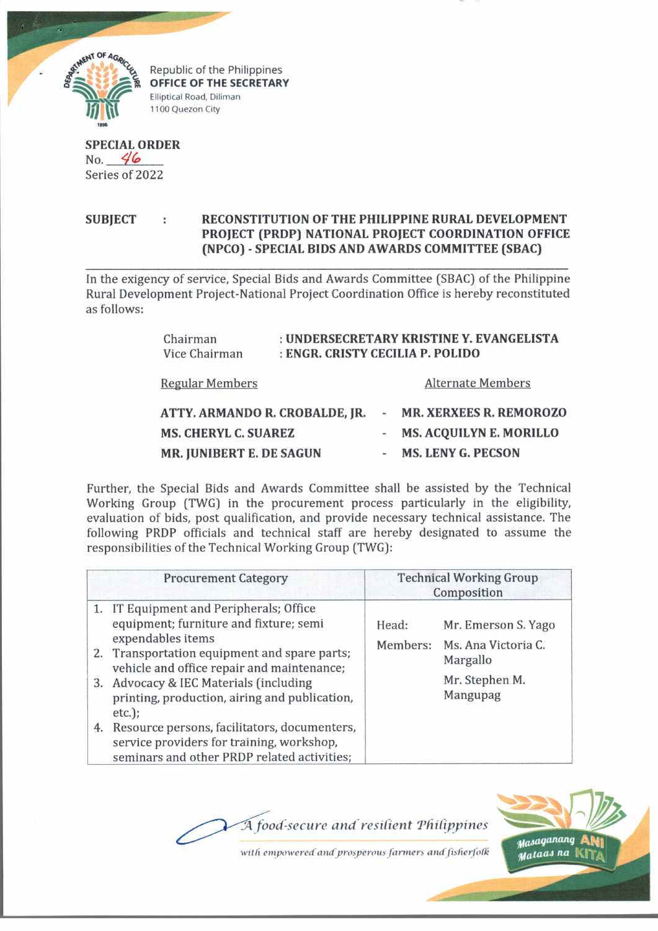

**Propublic of the Philippines**<br> **CALCE OF THE SECRETARY** Elliptical Road, Diliman 1100 Quezon City

**SPECIAL ORDER** No. *4(e>* Series of 2022

**SUBJECT : RECONSTITUTION OF THE PHILIPPINE RURAL DEVELOPMENT PROJECT (PRDP) NATIONAL PROJECT COORDINATION OFFICE (NPCO) - SPECIAL BIDS AND AWARDS COMMITTEE (SBAC)**

In the exigency of service, Special Bids and Awards Committee (SBAC) of the Philippine Rural Development Project-National Project Coordination Office is hereby reconstituted as follows:

| Chairman<br>Vice Chairman      | : UNDERSECRETARY KRISTINE Y. EVANGELISTA<br>: ENGR. CRISTY CECILIA P. POLIDO |  |                                |
|--------------------------------|------------------------------------------------------------------------------|--|--------------------------------|
| <b>Regular Members</b>         |                                                                              |  | <b>Alternate Members</b>       |
| ATTY. ARMANDO R. CROBALDE, JR. |                                                                              |  | - MR. XERXEES R. REMOROZO      |
| <b>MS. CHERYL C. SUAREZ</b>    |                                                                              |  | <b>MS. ACQUILYN E. MORILLO</b> |
| MR. JUNIBERT E. DE SAGUN       |                                                                              |  | <b>MS. LENY G. PECSON</b>      |

Further, the Special Bids and Awards Committee shall be assisted by the Technical Working Group (TWG) in the procurement process particularly in the eligibility, evaluation of bids, post qualification, and provide necessary technical assistance. The following PRDP officials and technical staff are hereby designated to assume the responsibilities of the Technical Working Group (TWG):

| <b>Procurement Category</b>                                                                                                                                                                                                                                                                                                                                                                                                                                    | <b>Technical Working Group</b><br>Composition |                                                                                               |
|----------------------------------------------------------------------------------------------------------------------------------------------------------------------------------------------------------------------------------------------------------------------------------------------------------------------------------------------------------------------------------------------------------------------------------------------------------------|-----------------------------------------------|-----------------------------------------------------------------------------------------------|
| 1. IT Equipment and Peripherals; Office<br>equipment; furniture and fixture; semi<br>expendables items<br>2. Transportation equipment and spare parts;<br>vehicle and office repair and maintenance;<br>3. Advocacy & IEC Materials (including<br>printing, production, airing and publication,<br>$etc.$ );<br>Resource persons, facilitators, documenters,<br>4.<br>service providers for training, workshop,<br>seminars and other PRDP related activities; | Head:                                         | Mr. Emerson S. Yago<br>Members: Ms. Ana Victoria C.<br>Margallo<br>Mr. Stephen M.<br>Mangupag |

*fA food-secure and resilient 'Philippines*



with empowered and prosperous farmers and fisherfolk